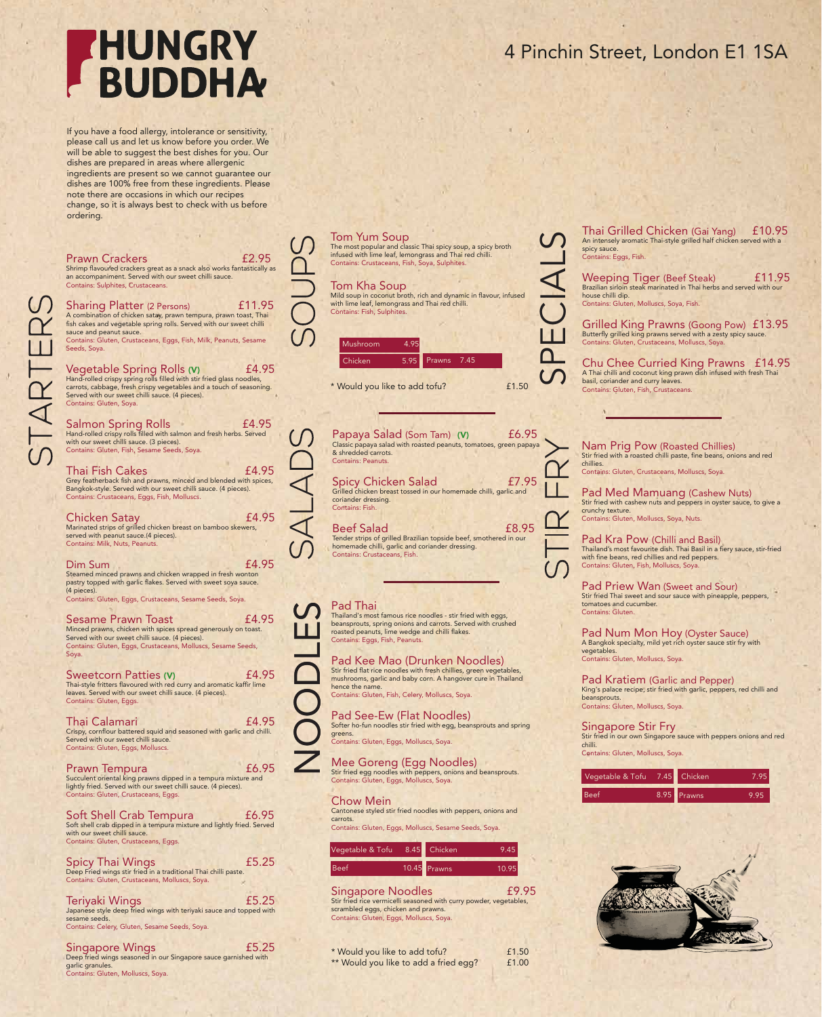## **HUNGRY BUDDHA**

If you have a food allergy, intolerance or sensitivity, please call us and let us know before you order. We will be able to suggest the best dishes for you. Our dishes are prepared in areas where allergenic ingredients are present so we cannot guarantee our dishes are 100% free from these ingredients. Please note there are occasions in which our recipes change, so it is always best to check with us before ordering.

STARTERS

| <b>Prawn Crackers</b><br>Shrimp flavoured crackers great as a snack also works fantastically as                                                                                                                                                                              | £2.95  |
|------------------------------------------------------------------------------------------------------------------------------------------------------------------------------------------------------------------------------------------------------------------------------|--------|
| an accompaniment. Served with our sweet chilli sauce.<br>Contains: Sulphites, Crustaceans.                                                                                                                                                                                   |        |
| <b>Sharing Platter (2 Persons)</b><br>A combination of chicken satay, prawn tempura, prawn toast, Thai<br>fish cakes and vegetable spring rolls. Served with our sweet chilli<br>sauce and peanut sauce.<br>Contains: Gluten, Crustaceans, Eggs, Fish, Milk, Peanuts, Sesame | £11.95 |
| Seeds, Soya.                                                                                                                                                                                                                                                                 |        |
| Vegetable Spring Rolls (V)<br>Hand-rolled crispy spring rolls filled with stir fried glass noodles,<br>carrots, cabbage, fresh crispy vegetables and a touch of seasoning.<br>Served with our sweet chilli sauce. (4 pieces).<br>Contains: Gluten, Soya.                     | £4.95  |
| Salmon Spring Rolls<br>Hand-rolled crispy rolls filled with salmon and fresh herbs. Served                                                                                                                                                                                   | £4.95  |
| with our sweet chilli sauce. (3 pieces).<br>Contains: Gluten, Fish, Sesame Seeds, Soya.                                                                                                                                                                                      |        |
| Thai Fish Cakes<br>Grey featherback fish and prawns, minced and blended with spices,<br>Bangkok-style. Served with our sweet chilli sauce. (4 pieces).<br>Contains: Crustaceans, Eggs, Fish, Molluscs.                                                                       | £4.95  |
| <b>Chicken Satay</b><br>Marinated strips of grilled chicken breast on bamboo skewers,<br>served with peanut sauce.(4 pieces).<br>Contains: Milk, Nuts, Peanuts.                                                                                                              | £4.95  |
| Dim Sum<br>Steamed minced prawns and chicken wrapped in fresh wonton<br>pastry topped with garlic flakes. Served with sweet soya sauce.<br>(4 pieces).<br>Contains: Gluten, Eggs, Crustaceans, Sesame Seeds, Soya.                                                           | £4.95  |
| Sesame Prawn Toast                                                                                                                                                                                                                                                           | £4.95  |
| Minced prawns, chicken with spices spread generously on toast.<br>Served with our sweet chilli sauce. (4 pieces).<br>Contains: Gluten, Eggs, Crustaceans, Molluscs, Sesame Seeds,<br>Soya.                                                                                   |        |
| <b>Sweetcorn Patties (V)</b><br>Thai-style fritters flavoured with red curry and aromatic kaffir lime<br>leaves. Served with our sweet chilli sauce. (4 pieces).<br>Contains: Gluten, Eggs.                                                                                  | £4.95  |
| Thai Calamari<br>Crispy, cornflour battered squid and seasoned with garlic and chilli.<br>Served with our sweet chilli sauce.<br>Contains: Gluten, Eggs, Molluscs.                                                                                                           | £4.95  |
| Prawn Tempura<br>Succulent oriental king prawns dipped in a tempura mixture and<br>lightly fried. Served with our sweet chilli sauce. (4 pieces).<br>Contains: Gluten, Crustaceans, Eggs.                                                                                    | £6.95  |
| <b>Soft Shell Crab Tempura</b><br>Soft shell crab dipped in a tempura mixture and lightly fried. Served<br>with our sweet chilli sauce.<br>Contains: Gluten, Crustaceans, Eggs.                                                                                              | £6.95  |
| Spicy Thai Wings<br>Deep Fried wings stir fried in a traditional Thai chilli paste.<br>Contains: Gluten, Crustaceans, Molluscs, Soya.                                                                                                                                        | £5.25  |
| Teriyaki Wings<br>Japanese style deep fried wings with teriyaki sauce and topped with<br>sesame seeds.<br>Contains: Celery, Gluten, Sesame Seeds, Soya.                                                                                                                      | £5.25  |
| Singapore Wings<br>Deep fried wings seasoned in our Singapore sauce garnished with                                                                                                                                                                                           | £5.25  |

Deep fried wings seasoned in our Singapore sauce garnished with garlic granules. Contains: Gluten, Molluscs, Soya.

## 4 Pinchin Street, London E1 1SA

## Tom Yum Soup

The most popular and classic Thai spicy soup, a spicy broth infused with lime leaf, lemongrass and Thai red chilli. Contains: Crustaceans, Fish, Soya, Sulphites.

### Tom Kha Soup

Mild soup in coconut broth, rich and dynamic in flavour, infused with lime leaf, lemongrass and Thai red chilli. Contains: Fish, Sulphites.

SPECIALS



\* Would you like to add tofu? £1.50

Papaya Salad (Som Tam) (V) £6.95 Classic papaya salad with roasted peanuts, tomatoes, green papaya & shredded carrots. Contains: Peanuts.

Spicy Chicken Salad £7.95 Grilled chicken breast tossed in our homemade chilli, garlic and coriander dressing. Contains: Fish.

Beef Salad £8.95 Tender strips of grilled Brazilian topside beef, smothered in our homemade chilli, garlic and coriander dressing. Contains: Crustaceans, Fish.

Thailand's most famous rice noodles - stir fried with eggs, beansprouts, spring onions and carrots. Served with crushed roasted peanuts, lime wedge and chilli flakes. Contains: Eggs, Fish, Peanuts.

**Manufacture 1978**<br>
Thailand's mos<br>
beansprouts, sy<br>
contains: Eggs<br>
Pad Kee<br>
Stir fried flat rid<br>
mushrooms, ge<br>
Pad See-Softer ho-fun n<br>
Pad See-Softer ho-fun n<br>
Contains: Glute<br>
Mee Gor Pad Kee Mao (Drunken Noodles) Stir fried flat rice noodles with fresh chillies, green vegetables, mushrooms, garlic and baby corn. A hangover cure in Thailand hence the name. Contains: Gluten, Fish, Celery, Molluscs, Soya.

Pad See-Ew (Flat Noodles) Softer ho-fun noodles stir fried with egg, beansprouts and spring greens. Contains: Gluten, Eggs, Molluscs, Soya.

Mee Goreng (Egg Noodles) Stir fried egg noodles with peppers, onions and beansprouts. Contains: Gluten, Eggs, Molluscs, Soya.

### Chow Mein

Cantonese styled stir fried noodles with peppers, onions and carrots. Contains: Gluten, Eggs, Molluscs, Sesame Seeds, Soya.

| Vegetable & Tofu <sup>8.45</sup> Chicken |                | 9.45  |
|------------------------------------------|----------------|-------|
| <b>Beef</b>                              | $10.45$ Prawns | 10.95 |

Singapore Noodles **E9.95** Stir fried rice vermicelli seasoned with curry powder, vegetables, scrambled eggs, chicken and prawns. Contains: Gluten, Eggs, Molluscs, Soya.

\* Would you like to add tofu? **E1.50** \*\* Would you like to add a fried egg? f1.00

Thai Grilled Chicken (Gai Yang) £10.95 An intensely aromatic Thai-style grilled half chicken served with a spicy sauce. Contains: Eggs, Fish.

Weeping Tiger (Beef Steak) £11.95 Brazilian sirloin steak marinated in Thai herbs and served with our house chilli dip. Contains: Gluten, Molluscs, Soya, Fish.

Grilled King Prawns (Goong Pow) £13.95 Butterfly grilled king prawns served with a zesty spicy sauce. Contains: Gluten, Crustaceans, Molluscs, Soya.

Chu Chee Curried King Prawns £14.95 A Thai chilli and coconut king prawn dish infused with fresh Thai basil, coriander and curry leaves. Contains: Gluten, Fish, Crustaceans.

Nam Prig Pow (Roasted Chillies) Stir fried with a roasted chilli paste, fine beans, onions and red chillies. Contains: Gluten, Crustaceans, Molluscs, Soya.

Pad Med Mamuang (Cashew Nuts) Stir fried with cashew nuts and peppers in oyster sauce, to give a crunchy texture. Contains: Gluten, Molluscs, Soya, Nuts.

Pad Kra Pow (Chilli and Basil) Thailand's most favourite dish. Thai Basil in a fiery sauce, stir-fried with fine beans, red chillies and red peppers. Contains: Gluten, Fish, Molluscs, Soya.

Pad Priew Wan (Sweet and Sour) Stir fried Thai sweet and sour sauce with pineapple, peppers, tomatoes and cucumber. Contains: Gluten.

Pad Num Mon Hoy (Oyster Sauce) A Bangkok specialty, mild yet rich oyster sauce stir fry with vegetables. Contains: Gluten, Molluscs, Soya.

Pad Kratiem (Garlic and Pepper) King's palace recipe, stir fried with garlic, peppers, red chilli and beansprouts. Contains: Gluten, Molluscs, Soya.

Singapore Stir Fry Stir fried in our own Singapore sauce with peppers onions and red chilli. Contains: Gluten, Molluscs, Soya.

| Vegetable & Tofu <sup>7.45</sup> Chicken |             | 795  |
|------------------------------------------|-------------|------|
| <b>Beef</b>                              | 8.95 Prawns | 9.95 |